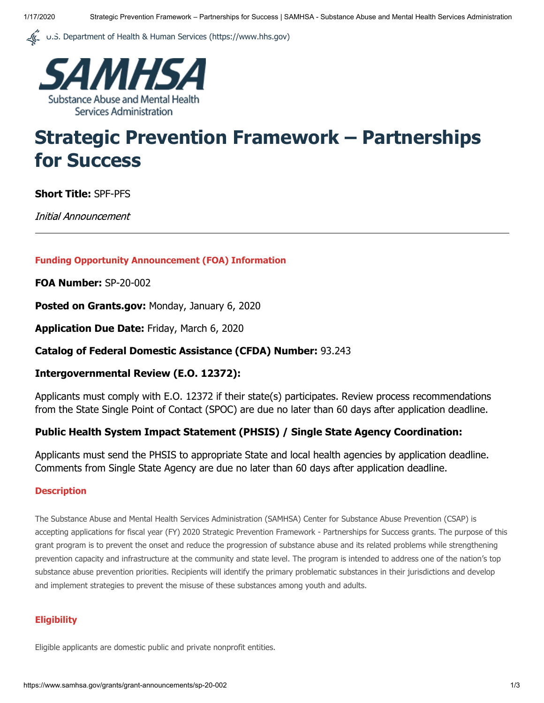U.S. Department of Health & Human Services (https://www.hhs.gov)



# **Strategic Prevention Framework – Partnerships for Success**

**Short Title:** SPF-PFS

Initial Announcement

#### **Funding Opportunity Announcement (FOA) Information**

**FOA Number:** SP-20-002

**Posted on Grants.gov:** Monday, January 6, 2020

**Application Due Date:** Friday, March 6, 2020

#### **Catalog of Federal Domestic Assistance (CFDA) Number:** 93.243

#### **Intergovernmental Review (E.O. 12372):**

Applicants must comply with E.O. 12372 if their state(s) participates. Review process recommendations from the State Single Point of Contact (SPOC) are due no later than 60 days after application deadline.

#### **Public Health System Impact Statement (PHSIS) / Single State Agency Coordination:**

Applicants must send the PHSIS to appropriate State and local health agencies by application deadline. Comments from Single State Agency are due no later than 60 days after application deadline.

#### **Description**

The Substance Abuse and Mental Health Services Administration (SAMHSA) Center for Substance Abuse Prevention (CSAP) is accepting applications for fiscal year (FY) 2020 Strategic Prevention Framework - Partnerships for Success grants. The purpose of this grant program is to prevent the onset and reduce the progression of substance abuse and its related problems while strengthening prevention capacity and infrastructure at the community and state level. The program is intended to address one of the nation's top substance abuse prevention priorities. Recipients will identify the primary problematic substances in their jurisdictions and develop and implement strategies to prevent the misuse of these substances among youth and adults.

#### **Eligibility**

Eligible applicants are domestic public and private nonprofit entities.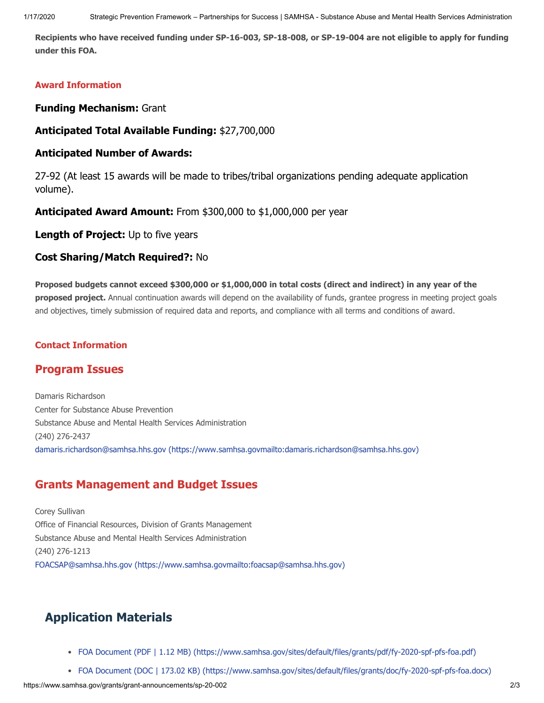**Recipients who have received funding under SP-16-003, SP-18-008, or SP-19-004 are not eligible to apply for funding under this FOA.**

#### **Award Information**

**Funding Mechanism:** Grant

**Anticipated Total Available Funding:** \$27,700,000

#### **Anticipated Number of Awards:**

27-92 (At least 15 awards will be made to tribes/tribal organizations pending adequate application volume).

**Anticipated Award Amount:** From \$300,000 to \$1,000,000 per year

**Length of Project:** Up to five years

#### **Cost Sharing/Match Required?:** No

**Proposed budgets cannot exceed \$300,000 or \$1,000,000 in total costs (direct and indirect) in any year of the proposed project.** Annual continuation awards will depend on the availability of funds, grantee progress in meeting project goals and objectives, timely submission of required data and reports, and compliance with all terms and conditions of award.

#### **Contact Information**

### **Program Issues**

Damaris Richardson Center for Substance Abuse Prevention Substance Abuse and Mental Health Services Administration (240) 276-2437 [damaris.richardson@samhsa.hhs.gov \(https://www.samhsa.govmailto:damaris.richardson@samhsa.hhs.gov\)](mailto:damaris.richardson@samhsa.hhs.gov)

## **Grants Management and Budget Issues**

Corey Sullivan Office of Financial Resources, Division of Grants Management Substance Abuse and Mental Health Services Administration (240) 276-1213 [FOACSAP@samhsa.hhs.gov \(https://www.samhsa.govmailto: foacsap@samhsa.hhs.gov\)](mailto:%E2%80%8BFOACSAP@samhsa.hhs.gov)

## **Application Materials**

- [FOA Document \(PDF | 1.12 MB\) \(https://www.samhsa.gov/sites/default/files/grants/pdf/fy-2020-spf-pfs-foa.pdf\)](https://www.samhsa.gov/sites/default/files/grants/pdf/fy-2020-spf-pfs-foa.pdf)
- [FOA Document \(DOC | 173.02 KB\) \(https://www.samhsa.gov/sites/default/files/grants/doc/fy-2020-spf-pfs-foa.docx\)](https://www.samhsa.gov/sites/default/files/grants/doc/fy-2020-spf-pfs-foa.docx)